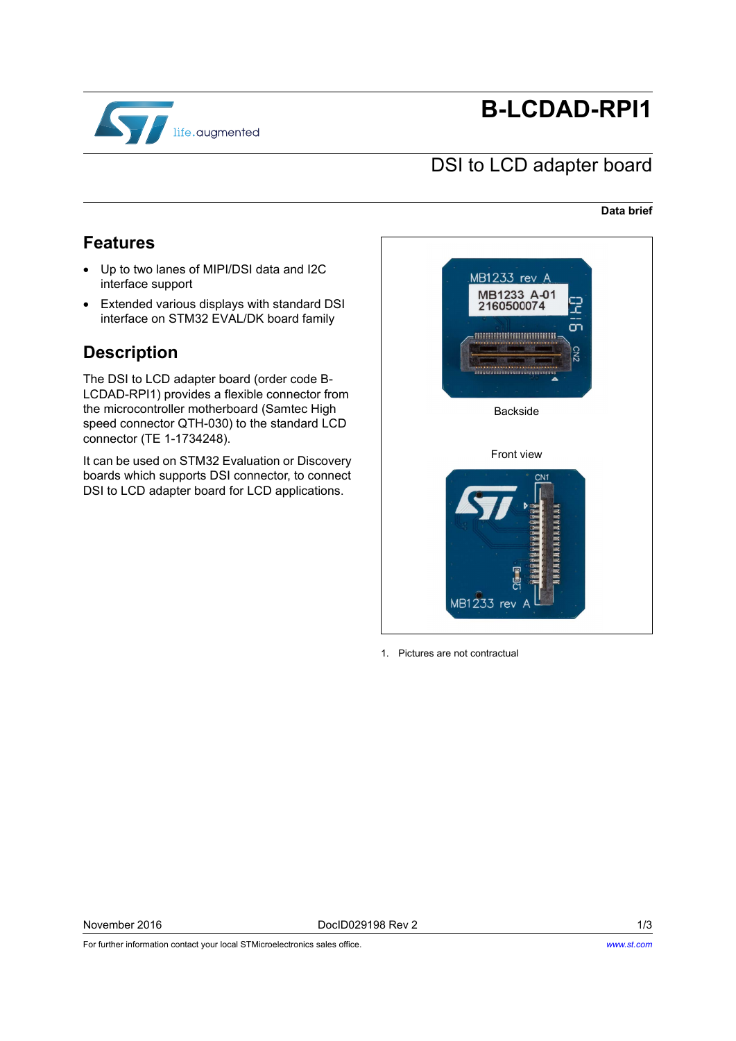

# **B-LCDAD-RPI1**

### DSI to LCD adapter board

#### **Data brief**

### <span id="page-0-0"></span>**Features**

- Up to two lanes of MIPI/DSI data and I2C interface support
- Extended various displays with standard DSI interface on STM32 EVAL/DK board family

### <span id="page-0-1"></span>**Description**

The DSI to LCD adapter board (order code B-LCDAD-RPI1) provides a flexible connector from the microcontroller motherboard (Samtec High speed connector QTH-030) to the standard LCD connector (TE 1-1734248).

It can be used on STM32 Evaluation or Discovery boards which supports DSI connector, to connect DSI to LCD adapter board for LCD applications.



1. Pictures are not contractual

For further information contact your local STMicroelectronics sales office.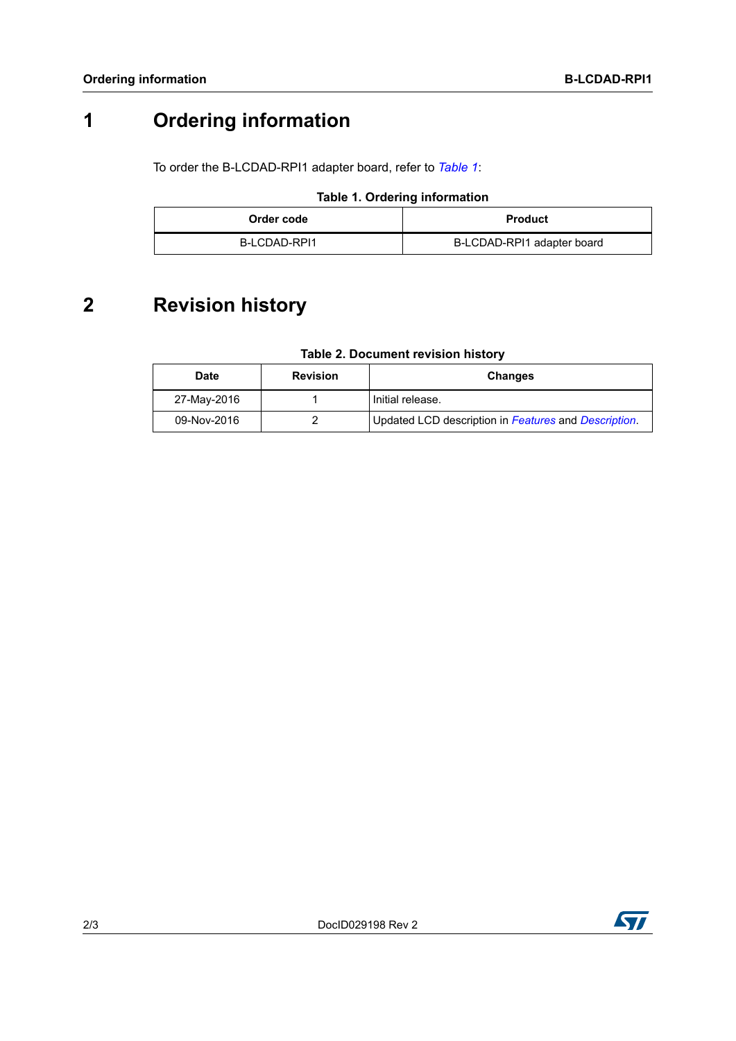## **1 Ordering information**

To order the B-LCDAD-RPI1 adapter board, refer to *[Table 1](#page-1-0)*:

#### **Table 1. Ordering information**

<span id="page-1-0"></span>

| Order code   | <b>Product</b>             |
|--------------|----------------------------|
| B-LCDAD-RPI1 | B-LCDAD-RPI1 adapter board |

## **2 Revision history**

### **Table 2. Document revision history**

| Date        | <b>Revision</b> | <b>Changes</b>                                       |
|-------------|-----------------|------------------------------------------------------|
| 27-May-2016 |                 | I Initial release.                                   |
| 09-Nov-2016 |                 | Updated LCD description in Features and Description. |